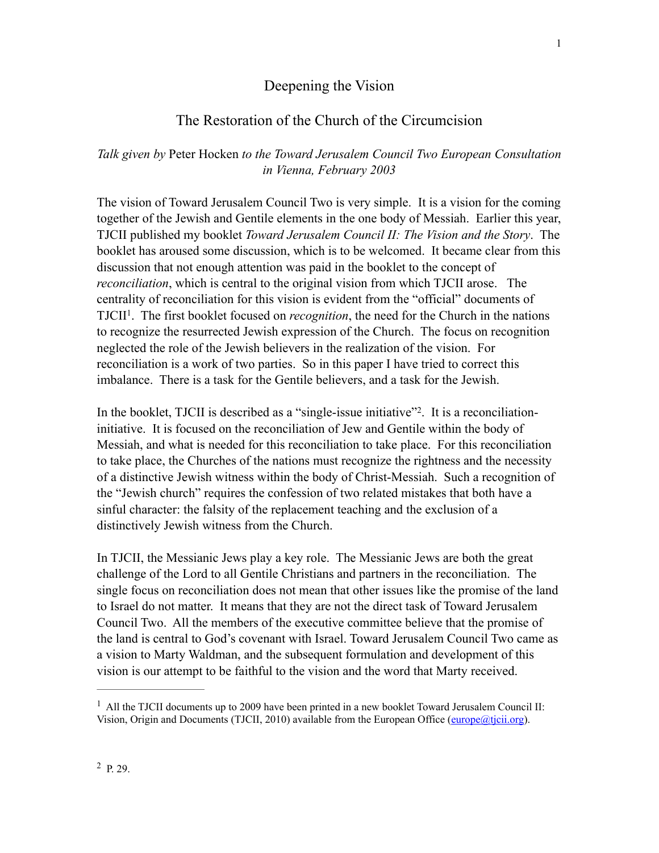## Deepening the Vision

# The Restoration of the Church of the Circumcision

## *Talk given by* Peter Hocken *to the Toward Jerusalem Council Two European Consultation in Vienna, February 2003*

The vision of Toward Jerusalem Council Two is very simple. It is a vision for the coming together of the Jewish and Gentile elements in the one body of Messiah. Earlier this year, TJCII published my booklet *Toward Jerusalem Council II: The Vision and the Story*. The booklet has aroused some discussion, which is to be welcomed. It became clear from this discussion that not enough attention was paid in the booklet to the concept of *reconciliation*, which is central to the original vision from which TJCII arose. The centrality of reconciliation for this vision is evident from the "official" documents of TJCII<sup>1</sup>. The first booklet focused on *recognition*, the need for the Church in the nations to recognize the resurrected Jewish expression of the Church. The focus on recognition neglected the role of the Jewish believers in the realization of the vision. For reconciliation is a work of two parties. So in this paper I have tried to correct this imbalance. There is a task for the Gentile believers, and a task for the Jewish.

In the booklet, TJCII is described as a "single-issue initiative" $2$ . It is a reconciliationinitiative. It is focused on the reconciliation of Jew and Gentile within the body of Messiah, and what is needed for this reconciliation to take place. For this reconciliation to take place, the Churches of the nations must recognize the rightness and the necessity of a distinctive Jewish witness within the body of Christ-Messiah. Such a recognition of the "Jewish church" requires the confession of two related mistakes that both have a sinful character: the falsity of the replacement teaching and the exclusion of a distinctively Jewish witness from the Church.

In TJCII, the Messianic Jews play a key role. The Messianic Jews are both the great challenge of the Lord to all Gentile Christians and partners in the reconciliation. The single focus on reconciliation does not mean that other issues like the promise of the land to Israel do not matter. It means that they are not the direct task of Toward Jerusalem Council Two. All the members of the executive committee believe that the promise of the land is central to God's covenant with Israel. Toward Jerusalem Council Two came as a vision to Marty Waldman, and the subsequent formulation and development of this vision is our attempt to be faithful to the vision and the word that Marty received.

1

<sup>&</sup>lt;sup>1</sup> All the TJCII documents up to 2009 have been printed in a new booklet Toward Jerusalem Council II: Vision, Origin and Documents (TJCII, 2010) available from the European Office [\(europe@tjcii.org](mailto:europe@tjcii.org)).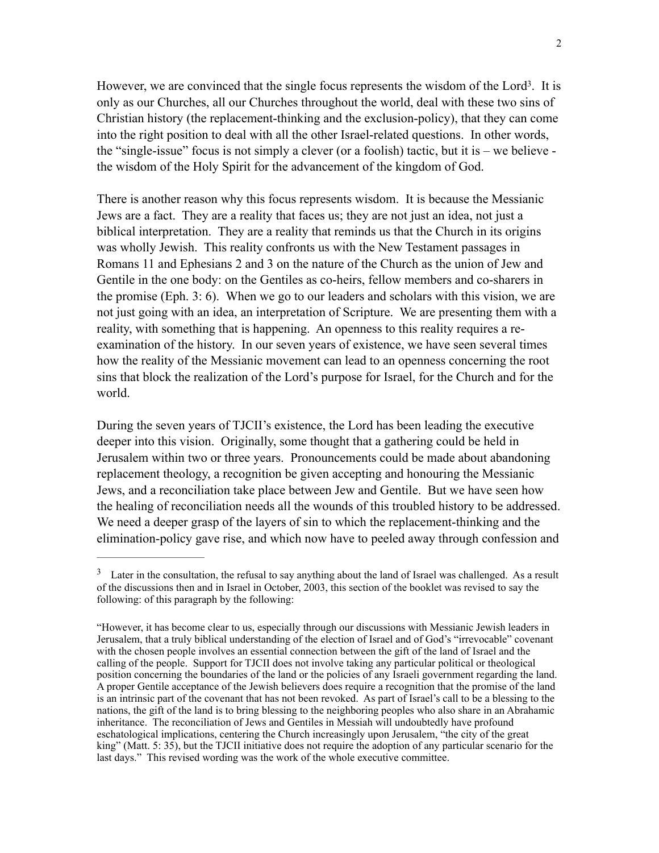However, we are convinced that the single focus represents the wisdom of the Lord<sup>3</sup>. It is only as our Churches, all our Churches throughout the world, deal with these two sins of Christian history (the replacement-thinking and the exclusion-policy), that they can come into the right position to deal with all the other Israel-related questions. In other words, the "single-issue" focus is not simply a clever (or a foolish) tactic, but it is – we believe the wisdom of the Holy Spirit for the advancement of the kingdom of God.

There is another reason why this focus represents wisdom. It is because the Messianic Jews are a fact. They are a reality that faces us; they are not just an idea, not just a biblical interpretation. They are a reality that reminds us that the Church in its origins was wholly Jewish. This reality confronts us with the New Testament passages in Romans 11 and Ephesians 2 and 3 on the nature of the Church as the union of Jew and Gentile in the one body: on the Gentiles as co-heirs, fellow members and co-sharers in the promise (Eph. 3: 6). When we go to our leaders and scholars with this vision, we are not just going with an idea, an interpretation of Scripture. We are presenting them with a reality, with something that is happening. An openness to this reality requires a reexamination of the history. In our seven years of existence, we have seen several times how the reality of the Messianic movement can lead to an openness concerning the root sins that block the realization of the Lord's purpose for Israel, for the Church and for the world.

During the seven years of TJCII's existence, the Lord has been leading the executive deeper into this vision. Originally, some thought that a gathering could be held in Jerusalem within two or three years. Pronouncements could be made about abandoning replacement theology, a recognition be given accepting and honouring the Messianic Jews, and a reconciliation take place between Jew and Gentile. But we have seen how the healing of reconciliation needs all the wounds of this troubled history to be addressed. We need a deeper grasp of the layers of sin to which the replacement-thinking and the elimination-policy gave rise, and which now have to peeled away through confession and

<sup>&</sup>lt;sup>3</sup> Later in the consultation, the refusal to say anything about the land of Israel was challenged. As a result of the discussions then and in Israel in October, 2003, this section of the booklet was revised to say the following: of this paragraph by the following:

<sup>&</sup>quot;However, it has become clear to us, especially through our discussions with Messianic Jewish leaders in Jerusalem, that a truly biblical understanding of the election of Israel and of God's "irrevocable" covenant with the chosen people involves an essential connection between the gift of the land of Israel and the calling of the people. Support for TJCII does not involve taking any particular political or theological position concerning the boundaries of the land or the policies of any Israeli government regarding the land. A proper Gentile acceptance of the Jewish believers does require a recognition that the promise of the land is an intrinsic part of the covenant that has not been revoked. As part of Israel's call to be a blessing to the nations, the gift of the land is to bring blessing to the neighboring peoples who also share in an Abrahamic inheritance. The reconciliation of Jews and Gentiles in Messiah will undoubtedly have profound eschatological implications, centering the Church increasingly upon Jerusalem, "the city of the great king" (Matt. 5: 35), but the TJCII initiative does not require the adoption of any particular scenario for the last days." This revised wording was the work of the whole executive committee.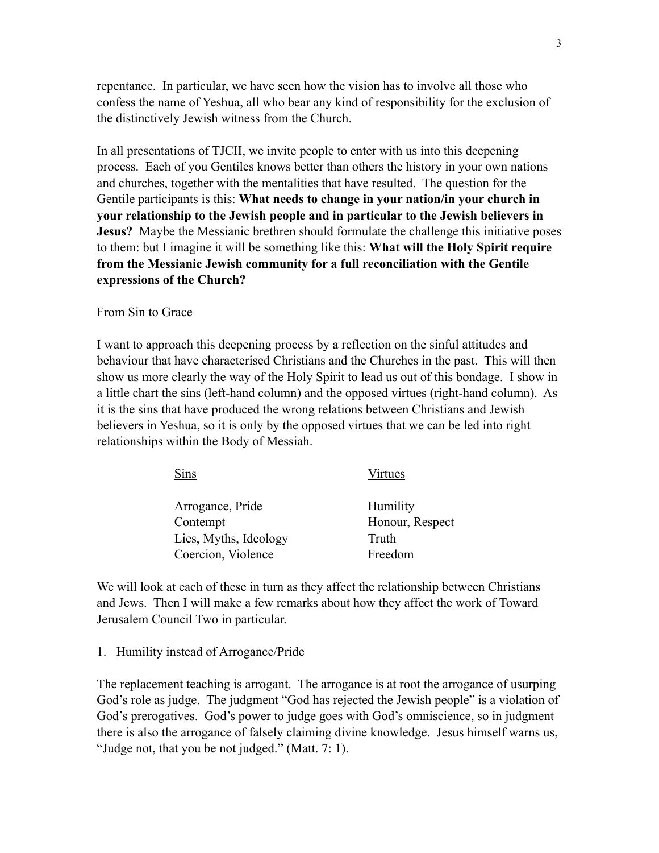repentance. In particular, we have seen how the vision has to involve all those who confess the name of Yeshua, all who bear any kind of responsibility for the exclusion of the distinctively Jewish witness from the Church.

In all presentations of TJCII, we invite people to enter with us into this deepening process. Each of you Gentiles knows better than others the history in your own nations and churches, together with the mentalities that have resulted. The question for the Gentile participants is this: **What needs to change in your nation/in your church in your relationship to the Jewish people and in particular to the Jewish believers in Jesus?** Maybe the Messianic brethren should formulate the challenge this initiative poses to them: but I imagine it will be something like this: **What will the Holy Spirit require from the Messianic Jewish community for a full reconciliation with the Gentile expressions of the Church?**

#### From Sin to Grace

I want to approach this deepening process by a reflection on the sinful attitudes and behaviour that have characterised Christians and the Churches in the past. This will then show us more clearly the way of the Holy Spirit to lead us out of this bondage. I show in a little chart the sins (left-hand column) and the opposed virtues (right-hand column). As it is the sins that have produced the wrong relations between Christians and Jewish believers in Yeshua, so it is only by the opposed virtues that we can be led into right relationships within the Body of Messiah.

| Sins                  | Virtues         |
|-----------------------|-----------------|
| Arrogance, Pride      | Humility        |
| Contempt              | Honour, Respect |
| Lies, Myths, Ideology | Truth           |
| Coercion, Violence    | Freedom         |

We will look at each of these in turn as they affect the relationship between Christians and Jews. Then I will make a few remarks about how they affect the work of Toward Jerusalem Council Two in particular.

#### 1. Humility instead of Arrogance/Pride

The replacement teaching is arrogant. The arrogance is at root the arrogance of usurping God's role as judge. The judgment "God has rejected the Jewish people" is a violation of God's prerogatives. God's power to judge goes with God's omniscience, so in judgment there is also the arrogance of falsely claiming divine knowledge. Jesus himself warns us, "Judge not, that you be not judged." (Matt. 7: 1).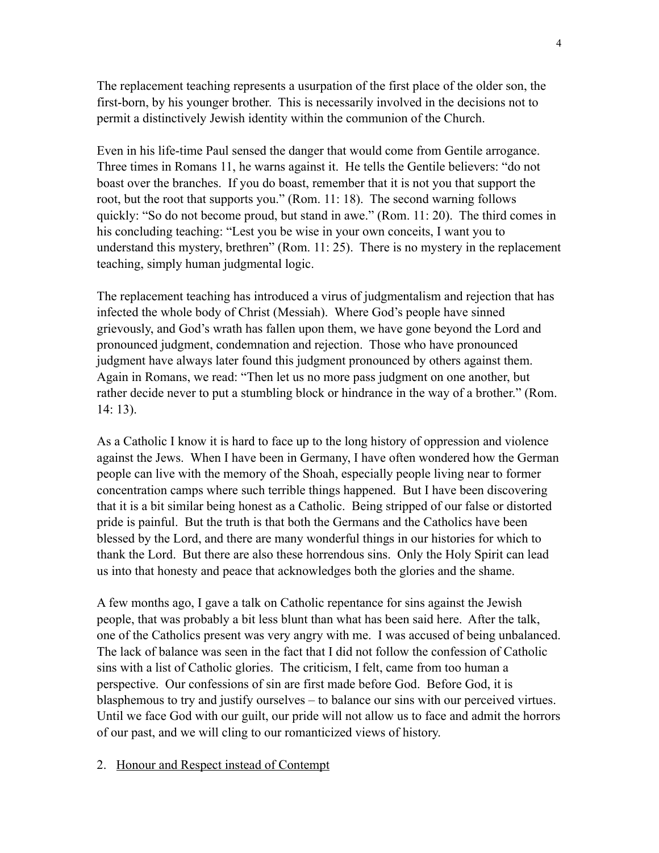The replacement teaching represents a usurpation of the first place of the older son, the first-born, by his younger brother. This is necessarily involved in the decisions not to permit a distinctively Jewish identity within the communion of the Church.

Even in his life-time Paul sensed the danger that would come from Gentile arrogance. Three times in Romans 11, he warns against it. He tells the Gentile believers: "do not boast over the branches. If you do boast, remember that it is not you that support the root, but the root that supports you." (Rom. 11: 18). The second warning follows quickly: "So do not become proud, but stand in awe." (Rom. 11: 20). The third comes in his concluding teaching: "Lest you be wise in your own conceits, I want you to understand this mystery, brethren" (Rom. 11: 25). There is no mystery in the replacement teaching, simply human judgmental logic.

The replacement teaching has introduced a virus of judgmentalism and rejection that has infected the whole body of Christ (Messiah). Where God's people have sinned grievously, and God's wrath has fallen upon them, we have gone beyond the Lord and pronounced judgment, condemnation and rejection. Those who have pronounced judgment have always later found this judgment pronounced by others against them. Again in Romans, we read: "Then let us no more pass judgment on one another, but rather decide never to put a stumbling block or hindrance in the way of a brother." (Rom. 14: 13).

As a Catholic I know it is hard to face up to the long history of oppression and violence against the Jews. When I have been in Germany, I have often wondered how the German people can live with the memory of the Shoah, especially people living near to former concentration camps where such terrible things happened. But I have been discovering that it is a bit similar being honest as a Catholic. Being stripped of our false or distorted pride is painful. But the truth is that both the Germans and the Catholics have been blessed by the Lord, and there are many wonderful things in our histories for which to thank the Lord. But there are also these horrendous sins. Only the Holy Spirit can lead us into that honesty and peace that acknowledges both the glories and the shame.

A few months ago, I gave a talk on Catholic repentance for sins against the Jewish people, that was probably a bit less blunt than what has been said here. After the talk, one of the Catholics present was very angry with me. I was accused of being unbalanced. The lack of balance was seen in the fact that I did not follow the confession of Catholic sins with a list of Catholic glories. The criticism, I felt, came from too human a perspective. Our confessions of sin are first made before God. Before God, it is blasphemous to try and justify ourselves – to balance our sins with our perceived virtues. Until we face God with our guilt, our pride will not allow us to face and admit the horrors of our past, and we will cling to our romanticized views of history.

### 2. Honour and Respect instead of Contempt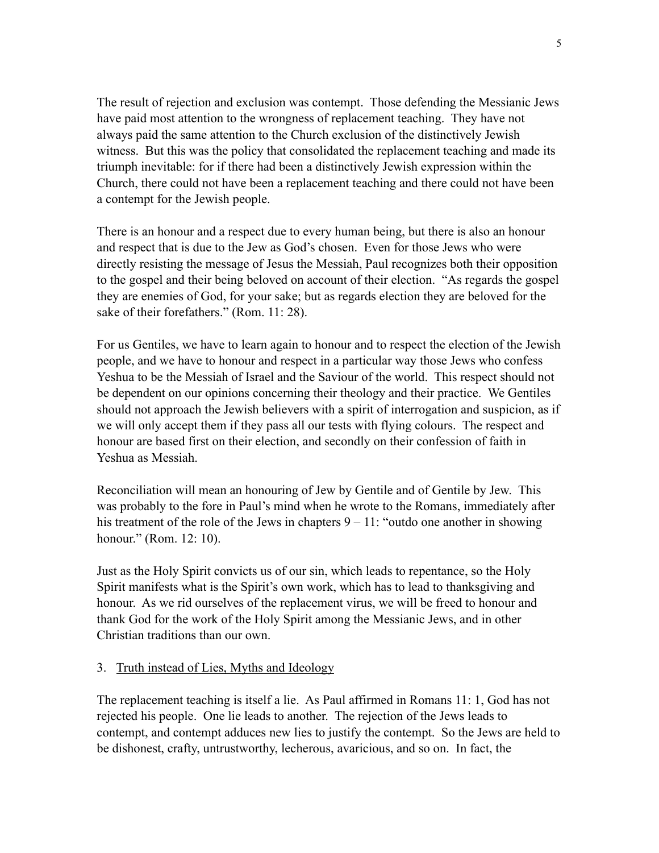The result of rejection and exclusion was contempt. Those defending the Messianic Jews have paid most attention to the wrongness of replacement teaching. They have not always paid the same attention to the Church exclusion of the distinctively Jewish witness. But this was the policy that consolidated the replacement teaching and made its triumph inevitable: for if there had been a distinctively Jewish expression within the Church, there could not have been a replacement teaching and there could not have been a contempt for the Jewish people.

There is an honour and a respect due to every human being, but there is also an honour and respect that is due to the Jew as God's chosen. Even for those Jews who were directly resisting the message of Jesus the Messiah, Paul recognizes both their opposition to the gospel and their being beloved on account of their election. "As regards the gospel they are enemies of God, for your sake; but as regards election they are beloved for the sake of their forefathers." (Rom. 11: 28).

For us Gentiles, we have to learn again to honour and to respect the election of the Jewish people, and we have to honour and respect in a particular way those Jews who confess Yeshua to be the Messiah of Israel and the Saviour of the world. This respect should not be dependent on our opinions concerning their theology and their practice. We Gentiles should not approach the Jewish believers with a spirit of interrogation and suspicion, as if we will only accept them if they pass all our tests with flying colours. The respect and honour are based first on their election, and secondly on their confession of faith in Yeshua as Messiah.

Reconciliation will mean an honouring of Jew by Gentile and of Gentile by Jew. This was probably to the fore in Paul's mind when he wrote to the Romans, immediately after his treatment of the role of the Jews in chapters  $9 - 11$ : "outdo one another in showing honour." (Rom. 12: 10).

Just as the Holy Spirit convicts us of our sin, which leads to repentance, so the Holy Spirit manifests what is the Spirit's own work, which has to lead to thanksgiving and honour. As we rid ourselves of the replacement virus, we will be freed to honour and thank God for the work of the Holy Spirit among the Messianic Jews, and in other Christian traditions than our own.

### 3. Truth instead of Lies, Myths and Ideology

The replacement teaching is itself a lie. As Paul affirmed in Romans 11: 1, God has not rejected his people. One lie leads to another. The rejection of the Jews leads to contempt, and contempt adduces new lies to justify the contempt. So the Jews are held to be dishonest, crafty, untrustworthy, lecherous, avaricious, and so on. In fact, the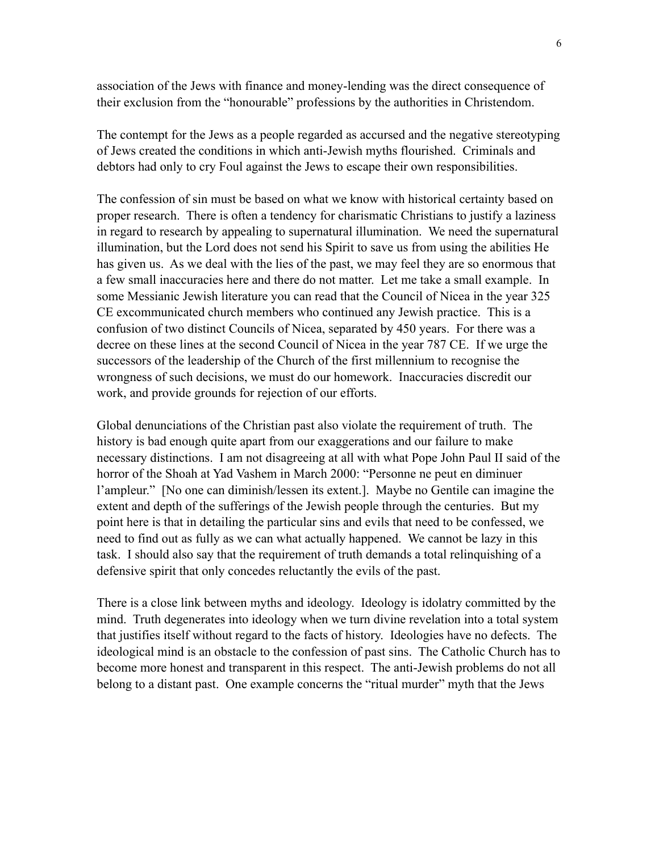association of the Jews with finance and money-lending was the direct consequence of their exclusion from the "honourable" professions by the authorities in Christendom.

The contempt for the Jews as a people regarded as accursed and the negative stereotyping of Jews created the conditions in which anti-Jewish myths flourished. Criminals and debtors had only to cry Foul against the Jews to escape their own responsibilities.

The confession of sin must be based on what we know with historical certainty based on proper research. There is often a tendency for charismatic Christians to justify a laziness in regard to research by appealing to supernatural illumination. We need the supernatural illumination, but the Lord does not send his Spirit to save us from using the abilities He has given us. As we deal with the lies of the past, we may feel they are so enormous that a few small inaccuracies here and there do not matter. Let me take a small example. In some Messianic Jewish literature you can read that the Council of Nicea in the year 325 CE excommunicated church members who continued any Jewish practice. This is a confusion of two distinct Councils of Nicea, separated by 450 years. For there was a decree on these lines at the second Council of Nicea in the year 787 CE. If we urge the successors of the leadership of the Church of the first millennium to recognise the wrongness of such decisions, we must do our homework. Inaccuracies discredit our work, and provide grounds for rejection of our efforts.

Global denunciations of the Christian past also violate the requirement of truth. The history is bad enough quite apart from our exaggerations and our failure to make necessary distinctions. I am not disagreeing at all with what Pope John Paul II said of the horror of the Shoah at Yad Vashem in March 2000: "Personne ne peut en diminuer l'ampleur." [No one can diminish/lessen its extent.]. Maybe no Gentile can imagine the extent and depth of the sufferings of the Jewish people through the centuries. But my point here is that in detailing the particular sins and evils that need to be confessed, we need to find out as fully as we can what actually happened. We cannot be lazy in this task. I should also say that the requirement of truth demands a total relinquishing of a defensive spirit that only concedes reluctantly the evils of the past.

There is a close link between myths and ideology. Ideology is idolatry committed by the mind. Truth degenerates into ideology when we turn divine revelation into a total system that justifies itself without regard to the facts of history. Ideologies have no defects. The ideological mind is an obstacle to the confession of past sins. The Catholic Church has to become more honest and transparent in this respect. The anti-Jewish problems do not all belong to a distant past. One example concerns the "ritual murder" myth that the Jews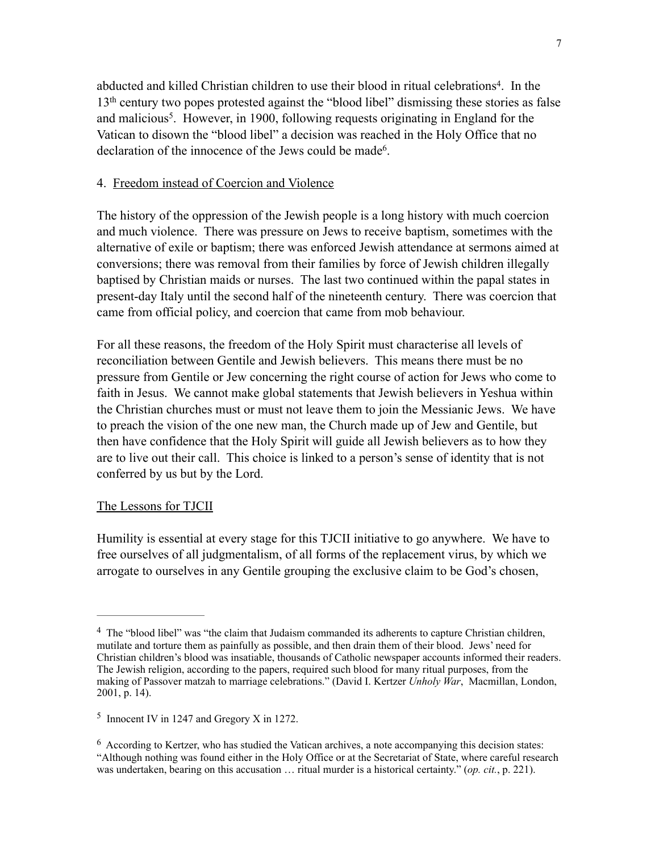abducted and killed Christian children to use their blood in ritual celebrations<sup>4</sup>. In the 13th century two popes protested against the "blood libel" dismissing these stories as false and malicious<sup>5</sup>. However, in 1900, following requests originating in England for the Vatican to disown the "blood libel" a decision was reached in the Holy Office that no declaration of the innocence of the Jews could be made  $6<sup>6</sup>$ 

### 4. Freedom instead of Coercion and Violence

The history of the oppression of the Jewish people is a long history with much coercion and much violence. There was pressure on Jews to receive baptism, sometimes with the alternative of exile or baptism; there was enforced Jewish attendance at sermons aimed at conversions; there was removal from their families by force of Jewish children illegally baptised by Christian maids or nurses. The last two continued within the papal states in present-day Italy until the second half of the nineteenth century. There was coercion that came from official policy, and coercion that came from mob behaviour.

For all these reasons, the freedom of the Holy Spirit must characterise all levels of reconciliation between Gentile and Jewish believers. This means there must be no pressure from Gentile or Jew concerning the right course of action for Jews who come to faith in Jesus. We cannot make global statements that Jewish believers in Yeshua within the Christian churches must or must not leave them to join the Messianic Jews. We have to preach the vision of the one new man, the Church made up of Jew and Gentile, but then have confidence that the Holy Spirit will guide all Jewish believers as to how they are to live out their call. This choice is linked to a person's sense of identity that is not conferred by us but by the Lord.

### The Lessons for TJCII

Humility is essential at every stage for this TJCII initiative to go anywhere. We have to free ourselves of all judgmentalism, of all forms of the replacement virus, by which we arrogate to ourselves in any Gentile grouping the exclusive claim to be God's chosen,

 $<sup>4</sup>$  The "blood libel" was "the claim that Judaism commanded its adherents to capture Christian children,</sup> mutilate and torture them as painfully as possible, and then drain them of their blood. Jews' need for Christian children's blood was insatiable, thousands of Catholic newspaper accounts informed their readers. The Jewish religion, according to the papers, required such blood for many ritual purposes, from the making of Passover matzah to marriage celebrations." (David I. Kertzer *Unholy War*,Macmillan, London, 2001, p. 14).

<sup>&</sup>lt;sup>5</sup> Innocent IV in 1247 and Gregory X in 1272.

<sup>&</sup>lt;sup>6</sup> According to Kertzer, who has studied the Vatican archives, a note accompanying this decision states: "Although nothing was found either in the Holy Office or at the Secretariat of State, where careful research was undertaken, bearing on this accusation … ritual murder is a historical certainty." (*op. cit.*, p. 221).